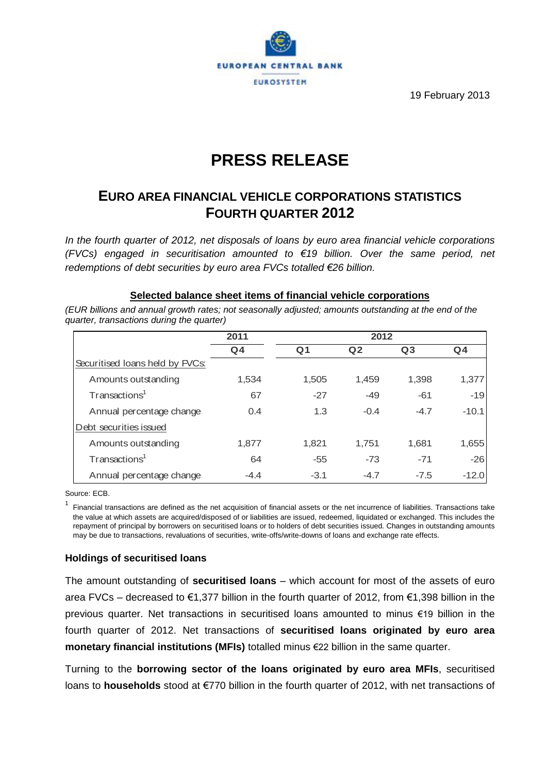

19 February 2013

# **PRESS RELEASE**

## **EURO AREA FINANCIAL VEHICLE CORPORATIONS STATISTICS FOURTH QUARTER 2012**

*In the fourth quarter of 2012, net disposals of loans by euro area financial vehicle corporations (FVCs) engaged in securitisation amounted to €19 billion. Over the same period, net redemptions of debt securities by euro area FVCs totalled €26 billion.*

### **Selected balance sheet items of financial vehicle corporations**

*(EUR billions and annual growth rates; not seasonally adjusted; amounts outstanding at the end of the quarter, transactions during the quarter)*

|                                 | 2011   | 2012   |                |                |         |  |
|---------------------------------|--------|--------|----------------|----------------|---------|--|
|                                 | $Q_4$  | Q1     | Q <sub>2</sub> | Q <sub>3</sub> | $Q_4$   |  |
| Securitised Ioans held by FVCs: |        |        |                |                |         |  |
| Amounts outstanding             | 1,534  | 1,505  | 1,459          | 1,398          | 1,377   |  |
| Transactions <sup>1</sup>       | 67     | $-27$  | $-49$          | $-61$          | $-19$   |  |
| Annual percentage change        | 0.4    | 1.3    | $-0.4$         | $-4.7$         | $-10.1$ |  |
| Debt securities issued          |        |        |                |                |         |  |
| Amounts outstanding             | 1,877  | 1,821  | 1.751          | 1,681          | 1,655   |  |
| Transactions <sup>1</sup>       | 64     | $-55$  | $-73$          | $-71$          | $-26$   |  |
| Annual percentage change        | $-4.4$ | $-3.1$ | $-4.7$         | $-7.5$         | $-12.0$ |  |

Source: ECB.

1 Financial transactions are defined as the net acquisition of financial assets or the net incurrence of liabilities. Transactions take the value at which assets are acquired/disposed of or liabilities are issued, redeemed, liquidated or exchanged. This includes the repayment of principal by borrowers on securitised loans or to holders of debt securities issued. Changes in outstanding amounts may be due to transactions, revaluations of securities, write-offs/write-downs of loans and exchange rate effects.

### **Holdings of securitised loans**

The amount outstanding of **securitised loans** – which account for most of the assets of euro area FVCs – decreased to €1,377 billion in the fourth quarter of 2012, from €1,398 billion in the previous quarter. Net transactions in securitised loans amounted to minus €19 billion in the fourth quarter of 2012. Net transactions of **securitised loans originated by euro area monetary financial institutions (MFIs)** totalled minus €22 billion in the same quarter.

Turning to the **borrowing sector of the loans originated by euro area MFIs**, securitised loans to **households** stood at €770 billion in the fourth quarter of 2012, with net transactions of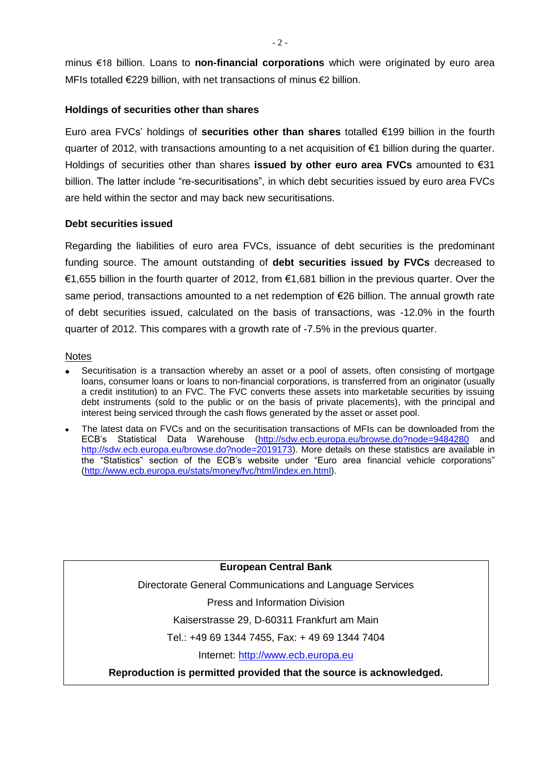minus €18 billion. Loans to **non-financial corporations** which were originated by euro area MFIs totalled €229 billion, with net transactions of minus €2 billion.

#### **Holdings of securities other than shares**

Euro area FVCs' holdings of **securities other than shares** totalled €199 billion in the fourth quarter of 2012, with transactions amounting to a net acquisition of  $\epsilon$ 1 billion during the quarter. Holdings of securities other than shares **issued by other euro area FVCs** amounted to €31 billion. The latter include "re-securitisations", in which debt securities issued by euro area FVCs are held within the sector and may back new securitisations.

#### **Debt securities issued**

Regarding the liabilities of euro area FVCs, issuance of debt securities is the predominant funding source. The amount outstanding of **debt securities issued by FVCs** decreased to €1,655 billion in the fourth quarter of 2012, from €1,681 billion in the previous quarter. Over the same period, transactions amounted to a net redemption of €26 billion. The annual growth rate of debt securities issued, calculated on the basis of transactions, was -12.0% in the fourth quarter of 2012. This compares with a growth rate of -7.5% in the previous quarter.

#### **Notes**

- Securitisation is a transaction whereby an asset or a pool of assets, often consisting of mortgage loans, consumer loans or loans to non-financial corporations, is transferred from an originator (usually a credit institution) to an FVC. The FVC converts these assets into marketable securities by issuing debt instruments (sold to the public or on the basis of private placements), with the principal and interest being serviced through the cash flows generated by the asset or asset pool.
- The latest data on FVCs and on the securitisation transactions of MFIs can be downloaded from the ECB's Statistical Data Warehouse [\(http://sdw.ecb.europa.eu/browse.do?node=9484280](http://sdw.ecb.europa.eu/browse.do?node=9484280) and [http://sdw.ecb.europa.eu/browse.do?node=2019173\)](http://sdw.ecb.europa.eu/browse.do?node=2019173). More details on these statistics are available in the "Statistics" section of the ECB's website under "Euro area financial vehicle corporations" [\(http://www.ecb.europa.eu/stats/money/fvc/html/index.en.html\)](http://www.ecb.europa.eu/stats/money/fvc/html/index.en.html).

**European Central Bank**

Directorate General Communications and Language Services

Press and Information Division

Kaiserstrasse 29, D-60311 Frankfurt am Main

Tel.: +49 69 1344 7455, Fax: + 49 69 1344 7404

Internet: [http://www.ecb.europa.eu](http://www.ecb.europa.eu/)

**Reproduction is permitted provided that the source is acknowledged.**